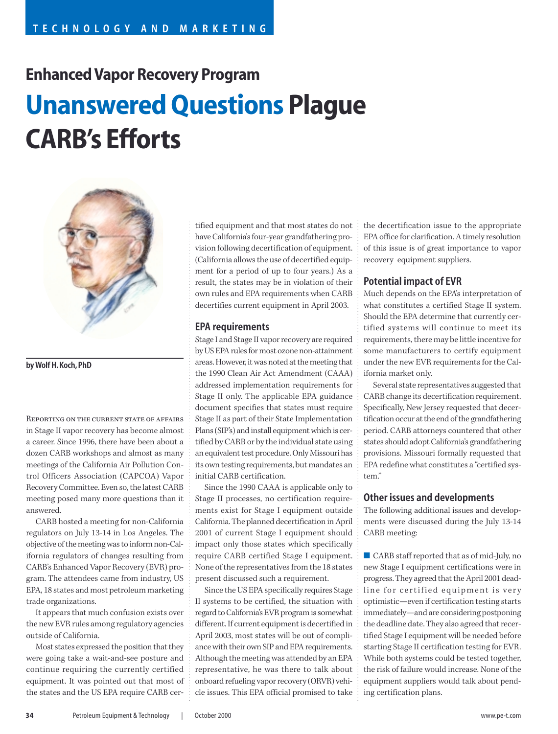# **Enhanced Vapor Recovery Program Unanswered Questions Plague CARB's Efforts**



**by Wolf H. Koch, PhD**

Reporting on the current state of affairs in Stage II vapor recovery has become almost a career. Since 1996, there have been about a dozen CARB workshops and almost as many meetings of the California Air Pollution Control Officers Association (CAPCOA) Vapor Recovery Committee. Even so, the latest CARB meeting posed many more questions than it answered.

CARB hosted a meeting for non-California regulators on July 13-14 in Los Angeles. The objective of the meeting was to inform non-California regulators of changes resulting from CARB's Enhanced Vapor Recovery (EVR) program. The attendees came from industry, US EPA, 18 states and most petroleum marketing trade organizations.

It appears that much confusion exists over the new EVR rules among regulatory agencies outside of California.

Most states expressed the position that they were going take a wait-and-see posture and continue requiring the currently certified equipment. It was pointed out that most of the states and the US EPA require CARB certified equipment and that most states do not have California's four-year grandfathering provision following decertification of equipment. (California allows the use of decertified equipment for a period of up to four years.) As a result, the states may be in violation of their own rules and EPA requirements when CARB decertifies current equipment in April 2003.

### **EPA requirements**

Stage I and Stage II vapor recovery are required by US EPA rules for most ozone non-attainment areas. However, it was noted at the meeting that the 1990 Clean Air Act Amendment (CAAA) addressed implementation requirements for Stage II only. The applicable EPA guidance document specifies that states must require Stage II as part of their State Implementation Plans (SIP's) and install equipment which is certified by CARB or by the individual state using an equivalent test procedure. Only Missouri has its own testing requirements, but mandates an initial CARB certification.

Since the 1990 CAAA is applicable only to Stage II processes, no certification requirements exist for Stage I equipment outside California. The planned decertification in April 2001 of current Stage I equipment should impact only those states which specifically require CARB certified Stage I equipment. None of the representatives from the 18 states present discussed such a requirement.

Since the US EPA specifically requires Stage II systems to be certified, the situation with regard to California's EVR program is somewhat different. If current equipment is decertified in April 2003, most states will be out of compliance with their own SIP and EPA requirements. Although the meeting was attended by an EPA representative, he was there to talk about onboard refueling vapor recovery (ORVR) vehicle issues. This EPA official promised to take the decertification issue to the appropriate EPA office for clarification. A timely resolution of this issue is of great importance to vapor recovery equipment suppliers.

## **Potential impact of EVR**

Much depends on the EPA's interpretation of what constitutes a certified Stage II system. Should the EPA determine that currently certified systems will continue to meet its requirements, there may be little incentive for some manufacturers to certify equipment under the new EVR requirements for the California market only.

Several state representatives suggested that CARB change its decertification requirement. Specifically, New Jersey requested that decertification occur at the end of the grandfathering period. CARB attorneys countered that other states should adopt California's grandfathering provisions. Missouri formally requested that EPA redefine what constitutes a "certified system."

#### **Other issues and developments**

The following additional issues and developments were discussed during the July 13-14 CARB meeting:

■ CARB staff reported that as of mid-July, no new Stage I equipment certifications were in progress. They agreed that the April 2001 deadline for certified equipment is very optimistic—even if certification testing starts immediately—and are considering postponing the deadline date. They also agreed that recertified Stage I equipment will be needed before starting Stage II certification testing for EVR. While both systems could be tested together, the risk of failure would increase. None of the equipment suppliers would talk about pending certification plans.